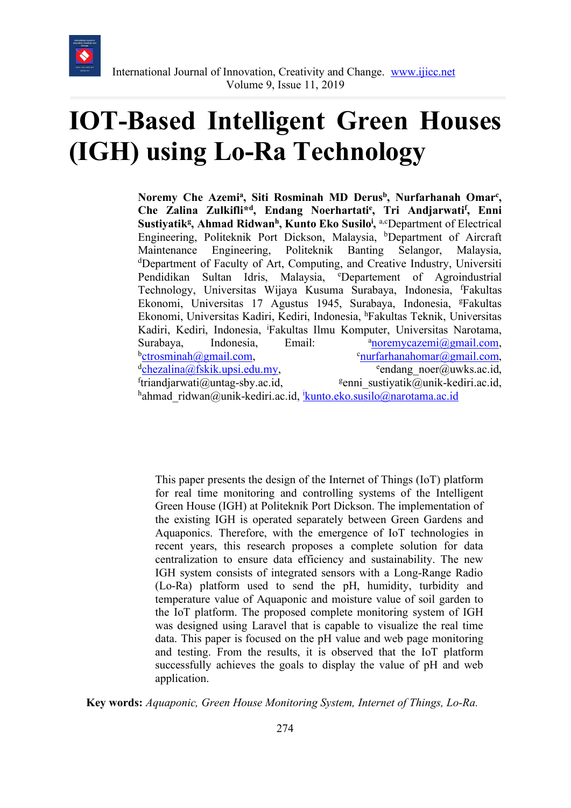

# **IOT-Based Intelligent Green Houses (IGH) using Lo-Ra Technology**

Noremy Che Azemi<sup>a</sup>, Siti Rosminah MD Derus<sup>b</sup>, Nurfarhanah Omar<sup>c</sup>, **Che Zalina Zulkifli\*d, Endang Noerhartatie , Tri Andjarwatif , Enni**  Sustiyatik<sup>g</sup>, Ahmad Ridwan<sup>h</sup>, Kunto Eko Susilo<sup>i</sup>, a,cDepartment of Electrical Engineering, Politeknik Port Dickson, Malaysia, <sup>b</sup>Department of Aircraft Maintenance Engineering, Politeknik Banting Selangor, Malaysia, d Department of Faculty of Art, Computing, and Creative Industry, Universiti Pendidikan Sultan Idris, Malaysia, <sup>e</sup>Departement of Agroindustrial Technology, Universitas Wijaya Kusuma Surabaya, Indonesia, f Fakultas Ekonomi, Universitas 17 Agustus 1945, Surabaya, Indonesia, <sup>g</sup>Fakultas Ekonomi, Universitas Kadiri, Kediri, Indonesia, <sup>h</sup>Fakultas Teknik, Universitas Kadiri, Kediri, Indonesia, <sup>i</sup> Fakultas Ilmu Komputer, Universitas Narotama, Surabaya, Indonesia, Email: noremycazemi@gmail.com, b <u>ctrosminah@gmail.com</u>,  $\text{urfarhanahomar}(a)$ gmail.com, <sup>d</sup>chezalina@fskik.upsi.edu.my, e endang noer@uwks.ac.id,  $if$ triandjarwati@untag-sby.ac.id,  $s$ enni sustiyatik@unik-kediri.ac.id, hahmad\_ridwan@unik-kediri.ac.id, <u>kunto.eko.susilo@narotama.ac.id</u>

This paper presents the design of the Internet of Things (IoT) platform for real time monitoring and controlling systems of the Intelligent Green House (IGH) at Politeknik Port Dickson. The implementation of the existing IGH is operated separately between Green Gardens and Aquaponics. Therefore, with the emergence of IoT technologies in recent years, this research proposes a complete solution for data centralization to ensure data efficiency and sustainability. The new IGH system consists of integrated sensors with a Long-Range Radio (Lo-Ra) platform used to send the pH, humidity, turbidity and temperature value of Aquaponic and moisture value of soil garden to the IoT platform. The proposed complete monitoring system of IGH was designed using Laravel that is capable to visualize the real time data. This paper is focused on the pH value and web page monitoring and testing. From the results, it is observed that the IoT platform successfully achieves the goals to display the value of pH and web application.

**Key words:** *Aquaponic, Green House Monitoring System, Internet of Things, Lo-Ra.*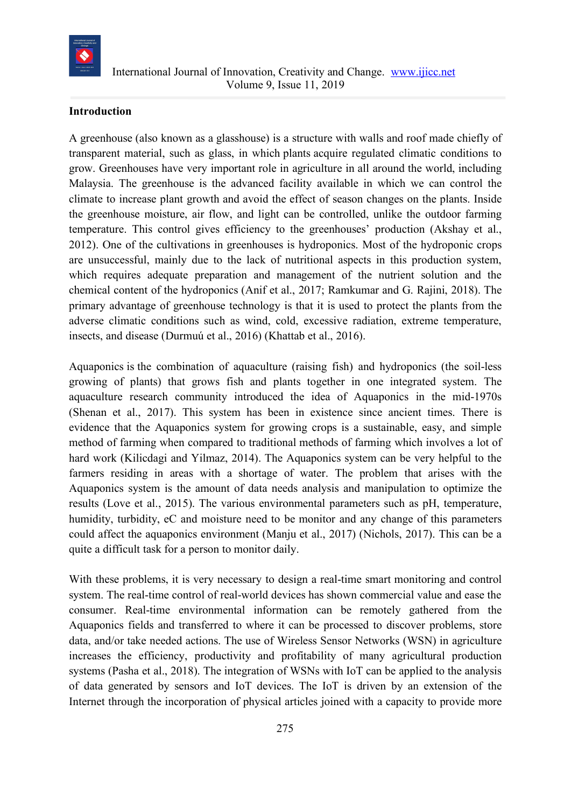

## **Introduction**

A greenhouse (also known as a glasshouse) is a structure with walls and roof made chiefly of transparent material, such as glass, in which plants acquire regulated climatic conditions to grow. Greenhouses have very important role in agriculture in all around the world, including Malaysia. The greenhouse is the advanced facility available in which we can control the climate to increase plant growth and avoid the effect of season changes on the plants. Inside the greenhouse moisture, air flow, and light can be controlled, unlike the outdoor farming temperature. This control gives efficiency to the greenhouses' production (Akshay et al., 2012). One of the cultivations in greenhouses is hydroponics. Most of the hydroponic crops are unsuccessful, mainly due to the lack of nutritional aspects in this production system, which requires adequate preparation and management of the nutrient solution and the chemical content of the hydroponics (Anif et al., 2017; Ramkumar and G. Rajini, 2018). The primary advantage of greenhouse technology is that it is used to protect the plants from the adverse climatic conditions such as wind, cold, excessive radiation, extreme temperature, insects, and disease (Durmuú et al., 2016) (Khattab et al., 2016).

Aquaponics is the combination of aquaculture (raising fish) and hydroponics (the soil-less growing of plants) that grows fish and plants together in one integrated system. The aquaculture research community introduced the idea of Aquaponics in the mid-1970s (Shenan et al., 2017). This system has been in existence since ancient times. There is evidence that the Aquaponics system for growing crops is a sustainable, easy, and simple method of farming when compared to traditional methods of farming which involves a lot of hard work (Kilicdagi and Yilmaz, 2014). The Aquaponics system can be very helpful to the farmers residing in areas with a shortage of water. The problem that arises with the Aquaponics system is the amount of data needs analysis and manipulation to optimize the results (Love et al., 2015). The various environmental parameters such as pH, temperature, humidity, turbidity, eC and moisture need to be monitor and any change of this parameters could affect the aquaponics environment (Manju et al., 2017) (Nichols, 2017). This can be a quite a difficult task for a person to monitor daily.

With these problems, it is very necessary to design a real-time smart monitoring and control system. The real-time control of real-world devices has shown commercial value and ease the consumer. Real-time environmental information can be remotely gathered from the Aquaponics fields and transferred to where it can be processed to discover problems, store data, and/or take needed actions. The use of Wireless Sensor Networks (WSN) in agriculture increases the efficiency, productivity and profitability of many agricultural production systems (Pasha et al., 2018). The integration of WSNs with IoT can be applied to the analysis of data generated by sensors and IoT devices. The IoT is driven by an extension of the Internet through the incorporation of physical articles joined with a capacity to provide more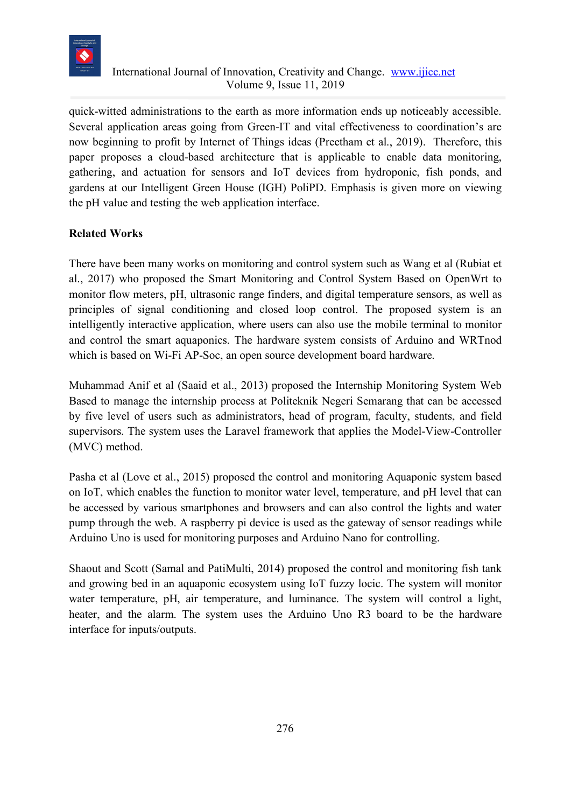

## International Journal of Innovation, Creativity and Change. www.ijicc.net Volume 9, Issue 11, 2019

quick-witted administrations to the earth as more information ends up noticeably accessible. Several application areas going from Green-IT and vital effectiveness to coordination's are now beginning to profit by Internet of Things ideas (Preetham et al., 2019). Therefore, this paper proposes a cloud-based architecture that is applicable to enable data monitoring, gathering, and actuation for sensors and IoT devices from hydroponic, fish ponds, and gardens at our Intelligent Green House (IGH) PoliPD. Emphasis is given more on viewing the pH value and testing the web application interface.

# **Related Works**

There have been many works on monitoring and control system such as Wang et al (Rubiat et al., 2017) who proposed the Smart Monitoring and Control System Based on OpenWrt to monitor flow meters, pH, ultrasonic range finders, and digital temperature sensors, as well as principles of signal conditioning and closed loop control. The proposed system is an intelligently interactive application, where users can also use the mobile terminal to monitor and control the smart aquaponics. The hardware system consists of Arduino and WRTnod which is based on Wi-Fi AP-Soc, an open source development board hardware.

Muhammad Anif et al (Saaid et al., 2013) proposed the Internship Monitoring System Web Based to manage the internship process at Politeknik Negeri Semarang that can be accessed by five level of users such as administrators, head of program, faculty, students, and field supervisors. The system uses the Laravel framework that applies the Model-View-Controller (MVC) method.

Pasha et al (Love et al., 2015) proposed the control and monitoring Aquaponic system based on IoT, which enables the function to monitor water level, temperature, and pH level that can be accessed by various smartphones and browsers and can also control the lights and water pump through the web. A raspberry pi device is used as the gateway of sensor readings while Arduino Uno is used for monitoring purposes and Arduino Nano for controlling.

Shaout and Scott (Samal and PatiMulti, 2014) proposed the control and monitoring fish tank and growing bed in an aquaponic ecosystem using IoT fuzzy locic. The system will monitor water temperature, pH, air temperature, and luminance. The system will control a light, heater, and the alarm. The system uses the Arduino Uno R3 board to be the hardware interface for inputs/outputs.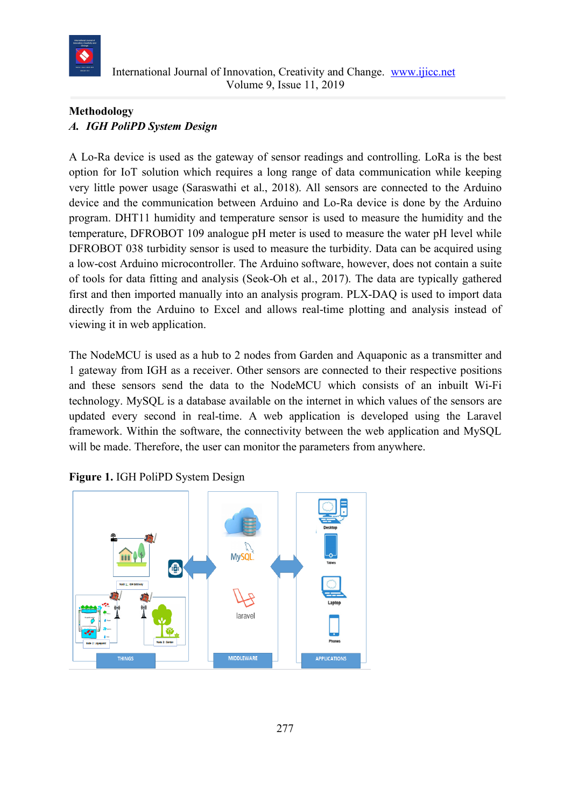

# **Methodology** *A. IGH PoliPD System Design*

A Lo-Ra device is used as the gateway of sensor readings and controlling. LoRa is the best option for IoT solution which requires a long range of data communication while keeping very little power usage (Saraswathi et al., 2018). All sensors are connected to the Arduino device and the communication between Arduino and Lo-Ra device is done by the Arduino program. DHT11 humidity and temperature sensor is used to measure the humidity and the temperature, DFROBOT 109 analogue pH meter is used to measure the water pH level while DFROBOT 038 turbidity sensor is used to measure the turbidity. Data can be acquired using a low-cost Arduino microcontroller. The Arduino software, however, does not contain a suite of tools for data fitting and analysis (Seok-Oh et al., 2017). The data are typically gathered first and then imported manually into an analysis program. PLX-DAQ is used to import data directly from the Arduino to Excel and allows real-time plotting and analysis instead of viewing it in web application.

The NodeMCU is used as a hub to 2 nodes from Garden and Aquaponic as a transmitter and 1 gateway from IGH as a receiver. Other sensors are connected to their respective positions and these sensors send the data to the NodeMCU which consists of an inbuilt Wi-Fi technology. MySQL is a database available on the internet in which values of the sensors are updated every second in real-time. A web application is developed using the Laravel framework. Within the software, the connectivity between the web application and MySQL will be made. Therefore, the user can monitor the parameters from anywhere.



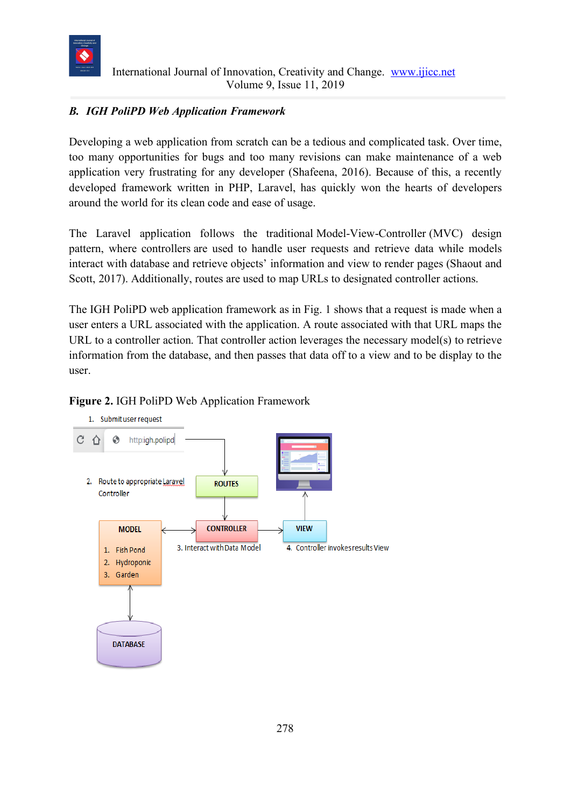

# *B. IGH PoliPD Web Application Framework*

Developing a web application from scratch can be a tedious and complicated task. Over time, too many opportunities for bugs and too many revisions can make maintenance of a web application very frustrating for any developer (Shafeena, 2016). Because of this, a recently developed framework written in PHP, Laravel, has quickly won the hearts of developers around the world for its clean code and ease of usage.

The Laravel application follows the traditional Model-View-Controller (MVC) design pattern, where controllers are used to handle user requests and retrieve data while models interact with database and retrieve objects' information and view to render pages (Shaout and Scott, 2017). Additionally, routes are used to map URLs to designated controller actions.

The IGH PoliPD web application framework as in Fig. 1 shows that a request is made when a user enters a URL associated with the application. A route associated with that URL maps the URL to a controller action. That controller action leverages the necessary model(s) to retrieve information from the database, and then passes that data off to a view and to be display to the user.



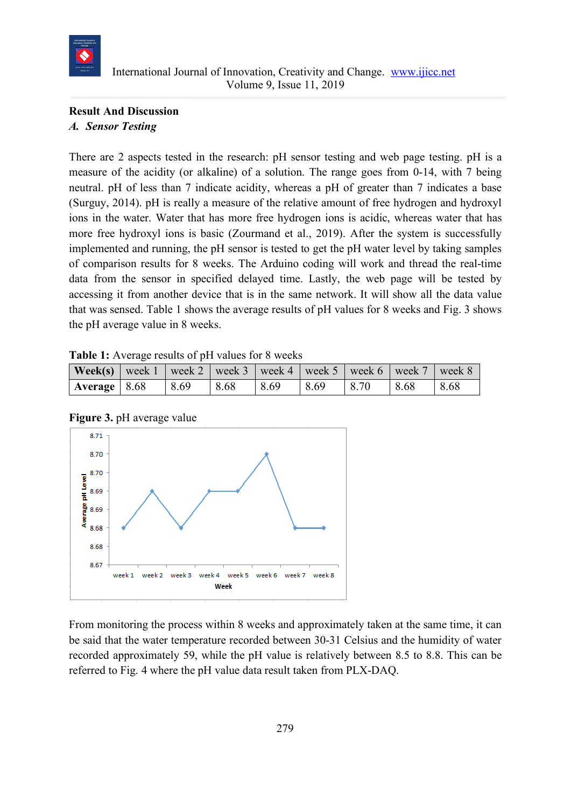![](_page_5_Picture_0.jpeg)

# **Result And Discussion** *A. Sensor Testing*

There are 2 aspects tested in the research: pH sensor testing and web page testing. pH is a measure of the acidity (or alkaline) of a solution. The range goes from 0-14, with 7 being neutral. pH of less than 7 indicate acidity, whereas a pH of greater than 7 indicates a base (Surguy, 2014). pH is really a measure of the relative amount of free hydrogen and hydroxyl ions in the water. Water that has more free hydrogen ions is acidic, whereas water that has more free hydroxyl ions is basic (Zourmand et al., 2019). After the system is successfully implemented and running, the pH sensor is tested to get the pH water level by taking samples of comparison results for 8 weeks. The Arduino coding will work and thread the real-time data from the sensor in specified delayed time. Lastly, the web page will be tested by accessing it from another device that is in the same network. It will show all the data value that was sensed. Table 1 shows the average results of pH values for 8 weeks and Fig. 3 shows the pH average value in 8 weeks.

|  | Table 1: Average results of pH values for 8 weeks |  |  |  |  |
|--|---------------------------------------------------|--|--|--|--|
|--|---------------------------------------------------|--|--|--|--|

| $\vert$ Week(s) $\vert$ week 1 $\vert$ week 2 $\vert$ week 3 $\vert$ week 4 $\vert$ week 5 $\vert$ week 6 $\vert$ week 7 $\vert$ week 8 |      |      |      |      |      |      |      |
|-----------------------------------------------------------------------------------------------------------------------------------------|------|------|------|------|------|------|------|
| $\vert$ Average $\vert$ 8.68                                                                                                            | 8.69 | 8.68 | 8.69 | 8.69 | 8.70 | 8.68 | 8.68 |

**Figure 3.** pH average value

![](_page_5_Figure_7.jpeg)

From monitoring the process within 8 weeks and approximately taken at the same time, it can be said that the water temperature recorded between 30-31 Celsius and the humidity of water recorded approximately 59, while the pH value is relatively between 8.5 to 8.8. This can be referred to Fig. 4 where the pH value data result taken from PLX-DAQ.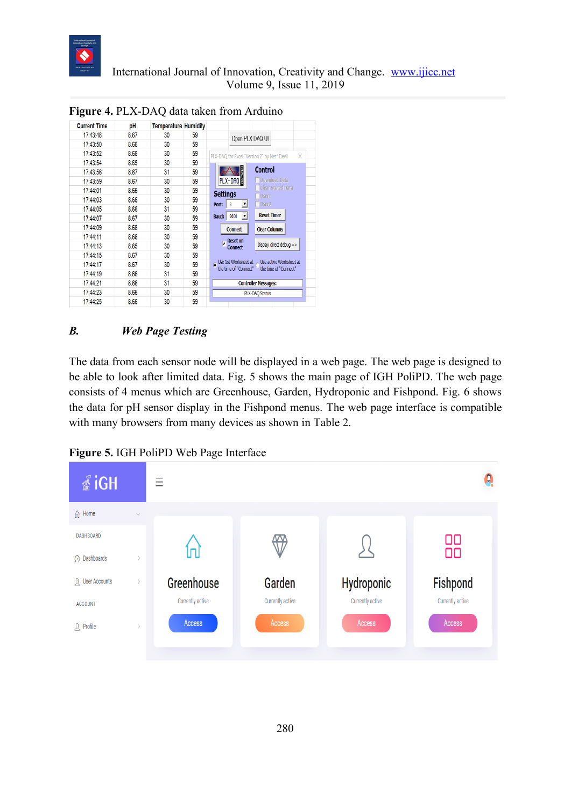![](_page_6_Picture_0.jpeg)

| <b>Current Time</b> | рH   | <b>Temperature Humidity</b> |    |                                                                              |  |
|---------------------|------|-----------------------------|----|------------------------------------------------------------------------------|--|
| 17:43:48            | 8.67 | 30                          | 59 | Open PLX DAQ UI                                                              |  |
| 17:43:50            | 8.68 | 30                          | 59 |                                                                              |  |
| 17:43:52            | 8.68 | 30                          | 59 | PLX-DAQ for Excel "Version 2" by Net^Devil<br>X                              |  |
| 17:43:54            | 8.65 | 30                          | 59 |                                                                              |  |
| 17:43:56            | 8.67 | 31                          | 59 | <b>Control</b>                                                               |  |
| 17:43:59            | 8.67 | 30                          | 59 | PLX-DAQ<br>Download Data                                                     |  |
| 17:44:01            | 8.66 | 30                          | 59 | <b>Clear Stored Data</b><br><b>Settings</b>                                  |  |
| 17:44:03            | 8.66 | 30                          | 59 | User1                                                                        |  |
| 17:44:05            | 8.66 | 31                          | 59 | User <sub>2</sub><br>$\vert \mathbf{v} \vert$<br>Port:<br>3                  |  |
| 17:44:07            | 8.67 | 30                          | 59 | <b>Reset Timer</b><br>$\mathbf{v}$<br>9600<br><b>Baud:</b>                   |  |
| 17:44:09            | 8.68 | 30                          | 59 | <b>Clear Columns</b><br><b>Connect</b>                                       |  |
| 17:44:11            | 8.68 | 30                          | 59 |                                                                              |  |
| 17:44:13            | 8.65 | 30                          | 59 | <b>Reset on</b><br>U<br>Display direct debug =><br><b>Connect</b>            |  |
| 17:44:15            | 8.67 | 30                          | 59 |                                                                              |  |
| 17:44:17            | 8.67 | 30                          | 59 | Use 1st Worksheet at $\sim$ Use active Worksheet at<br>the time of "Connect" |  |
| 17:44:19            | 8.66 | 31                          | 59 | the time of "Connect"                                                        |  |
| 17:44:21            | 8.66 | 31                          | 59 | <b>Controller Messages:</b>                                                  |  |
| 17:44:23            | 8.66 | 30                          | 59 | <b>PLX-DAQ Status</b>                                                        |  |
| 17:44:25            | 8.66 | 30                          | 59 |                                                                              |  |

**Figure 4.** PLX-DAQ data taken from Arduino

# *B. Web Page Testing*

The data from each sensor node will be displayed in a web page. The web page is designed to be able to look after limited data. Fig. 5 shows the main page of IGH PoliPD. The web page consists of 4 menus which are Greenhouse, Garden, Hydroponic and Fishpond. Fig. 6 shows the data for pH sensor display in the Fishpond menus. The web page interface is compatible with many browsers from many devices as shown in Table 2.

**Figure 5.** IGH PoliPD Web Page Interface

![](_page_6_Picture_7.jpeg)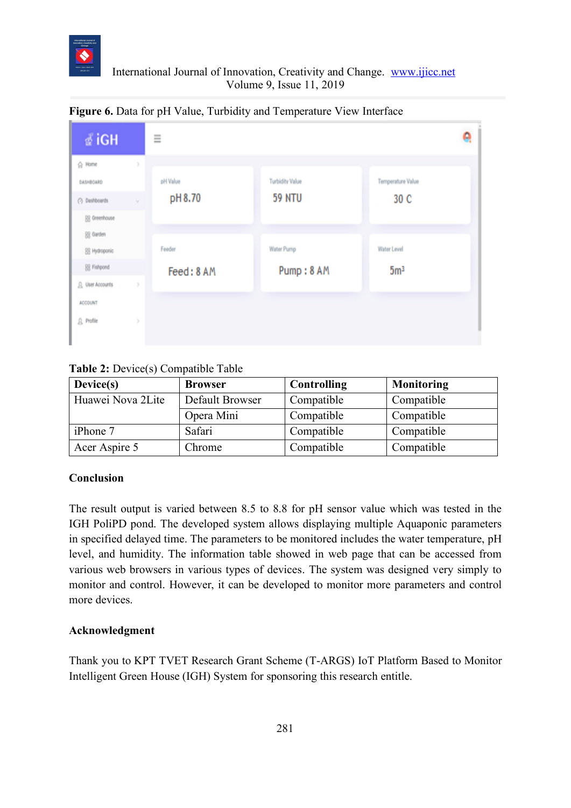![](_page_7_Picture_0.jpeg)

## International Journal of Innovation, Creativity and Change. www.ijicc.net Volume 9, Issue 11, 2019

| ∦iGH                   |               | Ξ          |                        |                   | ۹ |
|------------------------|---------------|------------|------------------------|-------------------|---|
| ☆ Home                 | x             |            |                        |                   |   |
| <b>DASHBOARD</b>       |               | pH Value   | <b>Turbidity Value</b> | Temperature Value |   |
| (2) Dashboards         | $\mathcal{Q}$ | pH 8.70    | <b>59 NTU</b>          | 30 C              |   |
| [8] Greenhouse         |               |            |                        |                   |   |
| 88 Garden              |               |            |                        |                   |   |
| SS Hydroponic          |               | Feeder     | Water Pump             | Water Level       |   |
| 88 Fishpond            |               | Feed: 8 AM | Pump: 8 AM             | 5 <sup>m3</sup>   |   |
| <b>Q</b> User Accounts | ×             |            |                        |                   |   |
| ACCOUNT                |               |            |                        |                   |   |
| <b>B.</b> Profile      | x             |            |                        |                   |   |
|                        |               |            |                        |                   |   |

## **Figure 6.** Data for pH Value, Turbidity and Temperature View Interface

## **Table 2:** Device(s) Compatible Table

| Device(s)         | <b>Browser</b>  | Controlling | Monitoring |
|-------------------|-----------------|-------------|------------|
| Huawei Nova 2Lite | Default Browser | Compatible  | Compatible |
|                   | Opera Mini      | Compatible  | Compatible |
| iPhone 7          | Safari          | Compatible  | Compatible |
| Acer Aspire 5     | Chrome          | Compatible  | Compatible |

## **Conclusion**

The result output is varied between 8.5 to 8.8 for pH sensor value which was tested in the IGH PoliPD pond. The developed system allows displaying multiple Aquaponic parameters in specified delayed time. The parameters to be monitored includes the water temperature, pH level, and humidity. The information table showed in web page that can be accessed from various web browsers in various types of devices. The system was designed very simply to monitor and control. However, it can be developed to monitor more parameters and control more devices.

#### **Acknowledgment**

Thank you to KPT TVET Research Grant Scheme (T-ARGS) IoT Platform Based to Monitor Intelligent Green House (IGH) System for sponsoring this research entitle.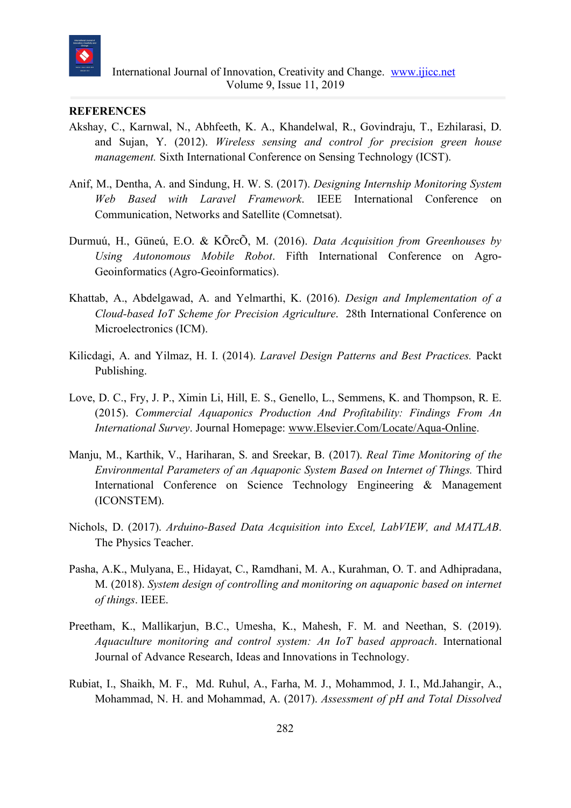![](_page_8_Picture_0.jpeg)

## **REFERENCES**

- Akshay, C., Karnwal, N., Abhfeeth, K. A., Khandelwal, R., Govindraju, T., Ezhilarasi, D. and Sujan, Y. (2012). *Wireless sensing and control for precision green house management.* Sixth International Conference on Sensing Technology (ICST).
- Anif, M., Dentha, A. and Sindung, H. W. S. (2017). *Designing Internship Monitoring System Web Based with Laravel Framework*. IEEE International Conference on Communication, Networks and Satellite (Comnetsat).
- Durmuú, H., Güneú, E.O. & KÕrcÕ, M. (2016). *Data Acquisition from Greenhouses by Using Autonomous Mobile Robot*. Fifth International Conference on Agro-Geoinformatics (Agro-Geoinformatics).
- Khattab, A., Abdelgawad, A. and Yelmarthi, K. (2016). *Design and Implementation of a Cloud-based IoT Scheme for Precision Agriculture*. 28th International Conference on Microelectronics (ICM).
- Kilicdagi, A. and Yilmaz, H. I. (2014). *Laravel Design Patterns and Best Practices.* Packt Publishing.
- Love, D. C., Fry, J. P., Ximin Li, Hill, E. S., Genello, L., Semmens, K. and Thompson, R. E. (2015). *Commercial Aquaponics Production And Profitability: Findings From An International Survey*. Journal Homepage: www.Elsevier.Com/Locate/Aqua-Online.
- Manju, M., Karthik, V., Hariharan, S. and Sreekar, B. (2017). *Real Time Monitoring of the Environmental Parameters of an Aquaponic System Based on Internet of Things.* Third International Conference on Science Technology Engineering & Management (ICONSTEM).
- Nichols, D. (2017). *Arduino-Based Data Acquisition into Excel, LabVIEW, and MATLAB*. The Physics Teacher.
- Pasha, A.K., Mulyana, E., Hidayat, C., Ramdhani, M. A., Kurahman, O. T. and Adhipradana, M. (2018). *System design of controlling and monitoring on aquaponic based on internet of things*. IEEE.
- Preetham, K., Mallikarjun, B.C., Umesha, K., Mahesh, F. M. and Neethan, S. (2019). *Aquaculture monitoring and control system: An IoT based approach*. International Journal of Advance Research, Ideas and Innovations in Technology.
- Rubiat, I., Shaikh, M. F., Md. Ruhul, A., Farha, M. J., Mohammod, J. I., Md.Jahangir, A., Mohammad, N. H. and Mohammad, A. (2017). *Assessment of pH and Total Dissolved*